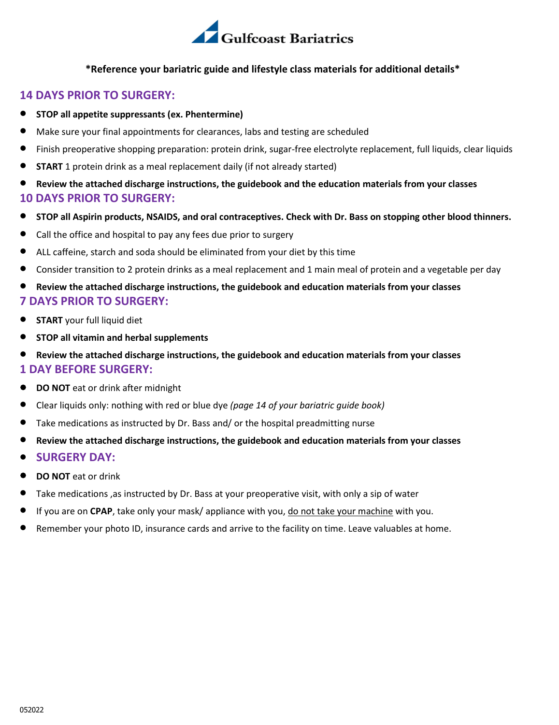

#### **\*Reference your bariatric guide and lifestyle class materials for additional details\***

#### **14 DAYS PRIOR TO SURGERY:**

- **STOP all appetite suppressants (ex. Phentermine)**
- Make sure your final appointments for clearances, labs and testing are scheduled
- Finish preoperative shopping preparation: protein drink, sugar-free electrolyte replacement, full liquids, clear liquids
- **START** 1 protein drink as a meal replacement daily (if not already started)
- **Review the attached discharge instructions, the guidebook and the education materials from your classes 10 DAYS PRIOR TO SURGERY:**
- **STOP all Aspirin products, NSAIDS, and oral contraceptives. Check with Dr. Bass on stopping other blood thinners.**
- Call the office and hospital to pay any fees due prior to surgery
- ALL caffeine, starch and soda should be eliminated from your diet by this time
- Consider transition to 2 protein drinks as a meal replacement and 1 main meal of protein and a vegetable per day
- **Review the attached discharge instructions, the guidebook and education materials from your classes 7 DAYS PRIOR TO SURGERY:**
- **START** your full liquid diet
- **STOP all vitamin and herbal supplements**
- **Review the attached discharge instructions, the guidebook and education materials from your classes 1 DAY BEFORE SURGERY:**
- **DO NOT** eat or drink after midnight
- Clear liquids only: nothing with red or blue dye *(page 14 of your bariatric guide book)*
- Take medications as instructed by Dr. Bass and/ or the hospital preadmitting nurse
- **Review the attached discharge instructions, the guidebook and education materials from your classes**
- **SURGERY DAY:**
- **DO NOT** eat or drink
- Take medications ,as instructed by Dr. Bass at your preoperative visit, with only a sip of water
- If you are on **CPAP**, take only your mask/ appliance with you, do not take your machine with you.
- Remember your photo ID, insurance cards and arrive to the facility on time. Leave valuables at home.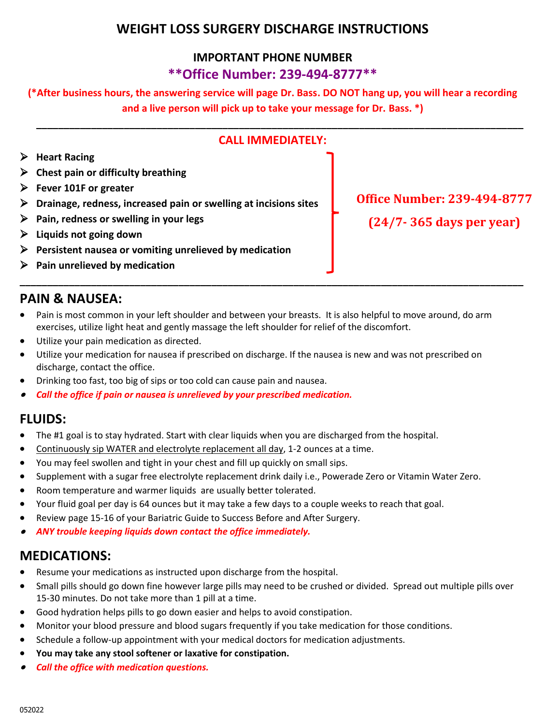## **WEIGHT LOSS SURGERY DISCHARGE INSTRUCTIONS**

### **IMPORTANT PHONE NUMBER \*\*Office Number: 239-494-8777\*\***

### **(\*After business hours, the answering service will page Dr. Bass. DO NOT hang up, you will hear a recording and a live person will pick up to take your message for Dr. Bass. \*)**

| CALL IMMFDIATFLY:                                                                                                                                                                                                                                                                                                                                                                         |                                                                    |
|-------------------------------------------------------------------------------------------------------------------------------------------------------------------------------------------------------------------------------------------------------------------------------------------------------------------------------------------------------------------------------------------|--------------------------------------------------------------------|
| <b>Heart Racing</b><br>Chest pain or difficulty breathing<br>$\triangleright$ Fever 101F or greater<br>Drainage, redness, increased pain or swelling at incisions sites<br>$\triangleright$ Pain, redness or swelling in your legs<br>Liquids not going down<br>$\triangleright$ Persistent nausea or vomiting unrelieved by medication<br>$\triangleright$ Pain unrelieved by medication | <b>Office Number: 239-494-8777</b><br>$(24/7 - 365$ days per year) |

### **PAIN & NAUSEA:**

- Pain is most common in your left shoulder and between your breasts. It is also helpful to move around, do arm exercises, utilize light heat and gently massage the left shoulder for relief of the discomfort.
- Utilize your pain medication as directed.
- Utilize your medication for nausea if prescribed on discharge. If the nausea is new and was not prescribed on discharge, contact the office.
- Drinking too fast, too big of sips or too cold can cause pain and nausea.
- •*Call the office if pain or nausea is unrelieved by your prescribed medication.*

### **FLUIDS:**

- The #1 goal is to stay hydrated. Start with clear liquids when you are discharged from the hospital.
- Continuously sip WATER and electrolyte replacement all day, 1-2 ounces at a time.
- You may feel swollen and tight in your chest and fill up quickly on small sips.
- Supplement with a sugar free electrolyte replacement drink daily i.e., Powerade Zero or Vitamin Water Zero.
- Room temperature and warmer liquids are usually better tolerated.
- Your fluid goal per day is 64 ounces but it may take a few days to a couple weeks to reach that goal.
- Review page 15-16 of your Bariatric Guide to Success Before and After Surgery.
- •*ANY trouble keeping liquids down contact the office immediately.*

### **MEDICATIONS:**

- Resume your medications as instructed upon discharge from the hospital.
- Small pills should go down fine however large pills may need to be crushed or divided. Spread out multiple pills over 15-30 minutes. Do not take more than 1 pill at a time.
- Good hydration helps pills to go down easier and helps to avoid constipation.
- Monitor your blood pressure and blood sugars frequently if you take medication for those conditions.
- Schedule a follow-up appointment with your medical doctors for medication adjustments.
- **You may take any stool softener or laxative for constipation.**
- •*Call the office with medication questions.*